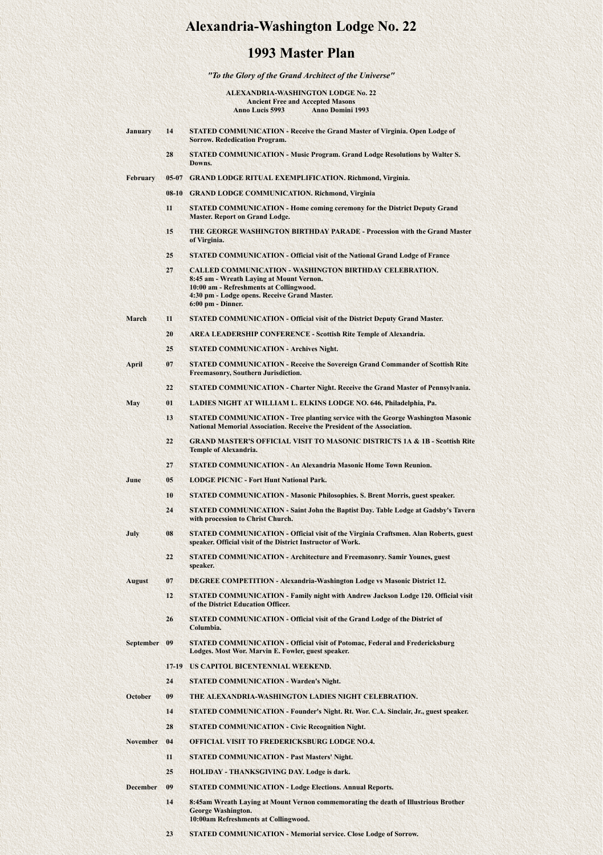## **Alexandria-Washington Lodge No. 22**

## **1993 Master Plan**

*"To the Glory of the Grand Architect of the Universe"*

**ALEXANDRIA-WASHINGTON LODGE No. 22 Ancient Free and Accepted Masons Anno Lucis 5993 Anno Domini 1993**

- **January 14 STATED COMMUNICATION Receive the Grand Master of Virginia. Open Lodge of Sorrow. Rededication Program. 28 STATED COMMUNICATION - Music Program. Grand Lodge Resolutions by Walter S. Downs. February 05-07 GRAND LODGE RITUAL EXEMPLIFICATION. Richmond, Virginia. 08-10 GRAND LODGE COMMUNICATION. Richmond, Virginia 11 STATED COMMUNICATION - Home coming ceremony for the District Deputy Grand Master. Report on Grand Lodge. 15 THE GEORGE WASHINGTON BIRTHDAY PARADE - Procession with the Grand Master of Virginia. 25 STATED COMMUNICATION - Official visit of the National Grand Lodge of France 27 CALLED COMMUNICATION - WASHINGTON BIRTHDAY CELEBRATION. 8:45 am - Wreath Laying at Mount Vernon. 10:00 am - Refreshments at Collingwood. 4:30 pm - Lodge opens. Receive Grand Master. 6:00 pm - Dinner. March 11 STATED COMMUNICATION - Official visit of the District Deputy Grand Master. 20 AREA LEADERSHIP CONFERENCE - Scottish Rite Temple of Alexandria. 25 STATED COMMUNICATION - Archives Night. April 07 STATED COMMUNICATION - Receive the Sovereign Grand Commander of Scottish Rite Freemasonry, Southern Jurisdiction. 22 STATED COMMUNICATION - Charter Night. Receive the Grand Master of Pennsylvania. May 01 LADIES NIGHT AT WILLIAM L. ELKINS LODGE NO. 646, Philadelphia, Pa. 13 STATED COMMUNICATION - Tree planting service with the George Washington Masonic National Memorial Association. Receive the President of the Association. 22 GRAND MASTER'S OFFICIAL VISIT TO MASONIC DISTRICTS 1A & 1B - Scottish Rite Temple of Alexandria. 27 STATED COMMUNICATION - An Alexandria Masonic Home Town Reunion. June 05 LODGE PICNIC - Fort Hunt National Park. 10 STATED COMMUNICATION - Masonic Philosophies. S. Brent Morris, guest speaker.**
	- **24 STATED COMMUNICATION Saint John the Baptist Day. Table Lodge at Gadsby's Tavern with procession to Christ Church.**
- **July 08 STATED COMMUNICATION Official visit of the Virginia Craftsmen. Alan Roberts, guest**
	- **speaker. Official visit of the District Instructor of Work.**
	- **22 STATED COMMUNICATION Architecture and Freemasonry. Samir Younes, guest speaker.**
- **August 07 DEGREE COMPETITION Alexandria-Washington Lodge vs Masonic District 12.**
	- **12 STATED COMMUNICATION Family night with Andrew Jackson Lodge 120. Official visit of the District Education Officer.**
	- **26 STATED COMMUNICATION Official visit of the Grand Lodge of the District of Columbia.**
- **September 09 STATED COMMUNICATION Official visit of Potomac, Federal and Fredericksburg Lodges. Most Wor. Marvin E. Fowler, guest speaker.**
	- **17-19 US CAPITOL BICENTENNIAL WEEKEND.**
	- **24 STATED COMMUNICATION Warden's Night.**
- **October 09 THE ALEXANDRIA-WASHINGTON LADIES NIGHT CELEBRATION.**
	- **14 STATED COMMUNICATION Founder's Night. Rt. Wor. C.A. Sinclair, Jr., guest speaker.**
	- **28 STATED COMMUNICATION Civic Recognition Night.**
- **November 04 OFFICIAL VISIT TO FREDERICKSBURG LODGE NO.4.**
	- **11 STATED COMMUNICATION Past Masters' Night.**
	- **25 HOLIDAY THANKSGIVING DAY. Lodge is dark.**
- **December 09 STATED COMMUNICATION Lodge Elections. Annual Reports.**
	- **14 8:45am Wreath Laying at Mount Vernon commemorating the death of Illustrious Brother George Washington. 10:00am Refreshments at Collingwood.**
	- **23 STATED COMMUNICATION Memorial service. Close Lodge of Sorrow.**